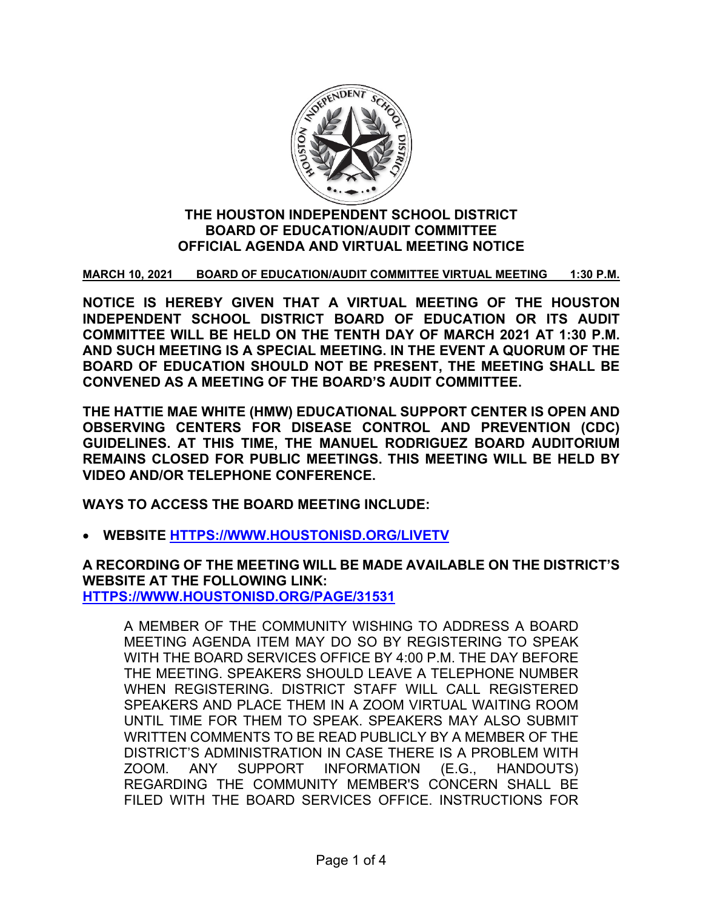

## **THE HOUSTON INDEPENDENT SCHOOL DISTRICT BOARD OF EDUCATION/AUDIT COMMITTEE OFFICIAL AGENDA AND VIRTUAL MEETING NOTICE**

## **MARCH 10, 2021 BOARD OF EDUCATION/AUDIT COMMITTEE VIRTUAL MEETING 1:30 P.M.**

**NOTICE IS HEREBY GIVEN THAT A VIRTUAL MEETING OF THE HOUSTON INDEPENDENT SCHOOL DISTRICT BOARD OF EDUCATION OR ITS AUDIT COMMITTEE WILL BE HELD ON THE TENTH DAY OF MARCH 2021 AT 1:30 P.M. AND SUCH MEETING IS A SPECIAL MEETING. IN THE EVENT A QUORUM OF THE BOARD OF EDUCATION SHOULD NOT BE PRESENT, THE MEETING SHALL BE CONVENED AS A MEETING OF THE BOARD'S AUDIT COMMITTEE.**

**THE HATTIE MAE WHITE (HMW) EDUCATIONAL SUPPORT CENTER IS OPEN AND OBSERVING CENTERS FOR DISEASE CONTROL AND PREVENTION (CDC) GUIDELINES. AT THIS TIME, THE MANUEL RODRIGUEZ BOARD AUDITORIUM REMAINS CLOSED FOR PUBLIC MEETINGS. THIS MEETING WILL BE HELD BY VIDEO AND/OR TELEPHONE CONFERENCE.**

**WAYS TO ACCESS THE BOARD MEETING INCLUDE:**

• **WEBSITE [HTTPS://WWW.HOUSTONISD.ORG/LIVETV](https://www.houstonisd.org/livetv)**

**A RECORDING OF THE MEETING WILL BE MADE AVAILABLE ON THE DISTRICT'S WEBSITE AT THE FOLLOWING LINK: [HTTPS://WWW.HOUSTONISD.ORG/PAGE/31531](https://www.houstonisd.org/Page/31531)**

A MEMBER OF THE COMMUNITY WISHING TO ADDRESS A BOARD MEETING AGENDA ITEM MAY DO SO BY REGISTERING TO SPEAK WITH THE BOARD SERVICES OFFICE BY 4:00 P.M. THE DAY BEFORE THE MEETING. SPEAKERS SHOULD LEAVE A TELEPHONE NUMBER WHEN REGISTERING. DISTRICT STAFF WILL CALL REGISTERED SPEAKERS AND PLACE THEM IN A ZOOM VIRTUAL WAITING ROOM UNTIL TIME FOR THEM TO SPEAK. SPEAKERS MAY ALSO SUBMIT WRITTEN COMMENTS TO BE READ PUBLICLY BY A MEMBER OF THE DISTRICT'S ADMINISTRATION IN CASE THERE IS A PROBLEM WITH ZOOM. ANY SUPPORT INFORMATION (E.G., HANDOUTS) REGARDING THE COMMUNITY MEMBER'S CONCERN SHALL BE FILED WITH THE BOARD SERVICES OFFICE. INSTRUCTIONS FOR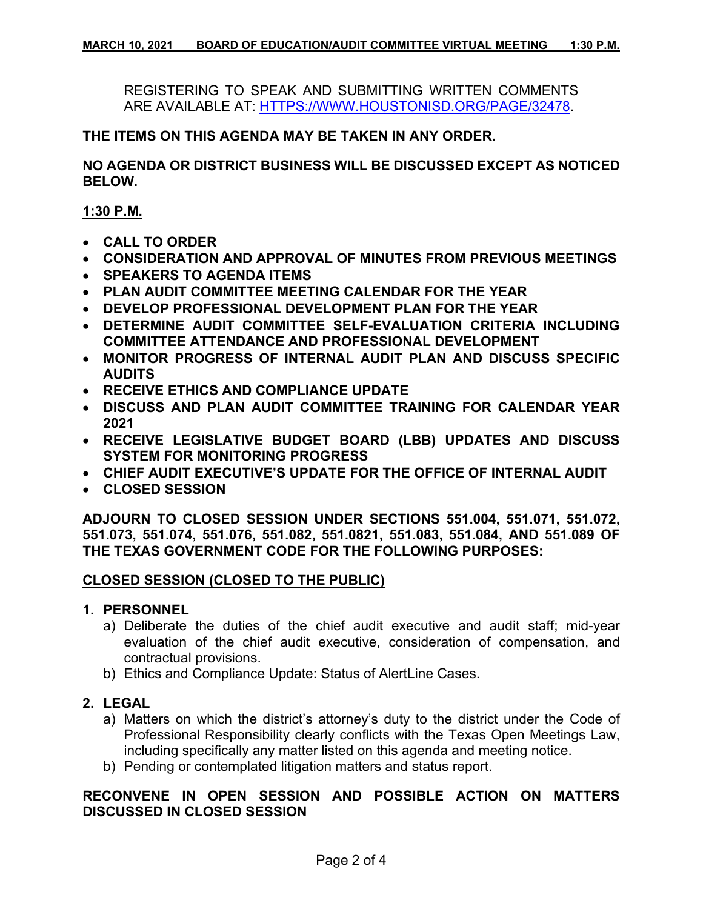REGISTERING TO SPEAK AND SUBMITTING WRITTEN COMMENTS ARE AVAILABLE AT: [HTTPS://WWW.HOUSTONISD.ORG/PAGE/32478.](https://www.houstonisd.org/Page/32478)

#### **THE ITEMS ON THIS AGENDA MAY BE TAKEN IN ANY ORDER.**

**NO AGENDA OR DISTRICT BUSINESS WILL BE DISCUSSED EXCEPT AS NOTICED BELOW.**

**1:30 P.M.**

- **CALL TO ORDER**
- **CONSIDERATION AND APPROVAL OF MINUTES FROM PREVIOUS MEETINGS**
- **SPEAKERS TO AGENDA ITEMS**
- **PLAN AUDIT COMMITTEE MEETING CALENDAR FOR THE YEAR**
- **DEVELOP PROFESSIONAL DEVELOPMENT PLAN FOR THE YEAR**
- **DETERMINE AUDIT COMMITTEE SELF-EVALUATION CRITERIA INCLUDING COMMITTEE ATTENDANCE AND PROFESSIONAL DEVELOPMENT**
- **MONITOR PROGRESS OF INTERNAL AUDIT PLAN AND DISCUSS SPECIFIC AUDITS**
- **RECEIVE ETHICS AND COMPLIANCE UPDATE**
- **DISCUSS AND PLAN AUDIT COMMITTEE TRAINING FOR CALENDAR YEAR 2021**
- **RECEIVE LEGISLATIVE BUDGET BOARD (LBB) UPDATES AND DISCUSS SYSTEM FOR MONITORING PROGRESS**
- **CHIEF AUDIT EXECUTIVE'S UPDATE FOR THE OFFICE OF INTERNAL AUDIT**
- **CLOSED SESSION**

**ADJOURN TO CLOSED SESSION UNDER SECTIONS 551.004, 551.071, 551.072, 551.073, 551.074, 551.076, 551.082, 551.0821, 551.083, 551.084, AND 551.089 OF THE TEXAS GOVERNMENT CODE FOR THE FOLLOWING PURPOSES:**

## **CLOSED SESSION (CLOSED TO THE PUBLIC)**

#### **1. PERSONNEL**

- a) Deliberate the duties of the chief audit executive and audit staff; mid-year evaluation of the chief audit executive, consideration of compensation, and contractual provisions.
- b) Ethics and Compliance Update: Status of AlertLine Cases.

## **2. LEGAL**

- a) Matters on which the district's attorney's duty to the district under the Code of Professional Responsibility clearly conflicts with the Texas Open Meetings Law, including specifically any matter listed on this agenda and meeting notice.
- b) Pending or contemplated litigation matters and status report.

# **RECONVENE IN OPEN SESSION AND POSSIBLE ACTION ON MATTERS DISCUSSED IN CLOSED SESSION**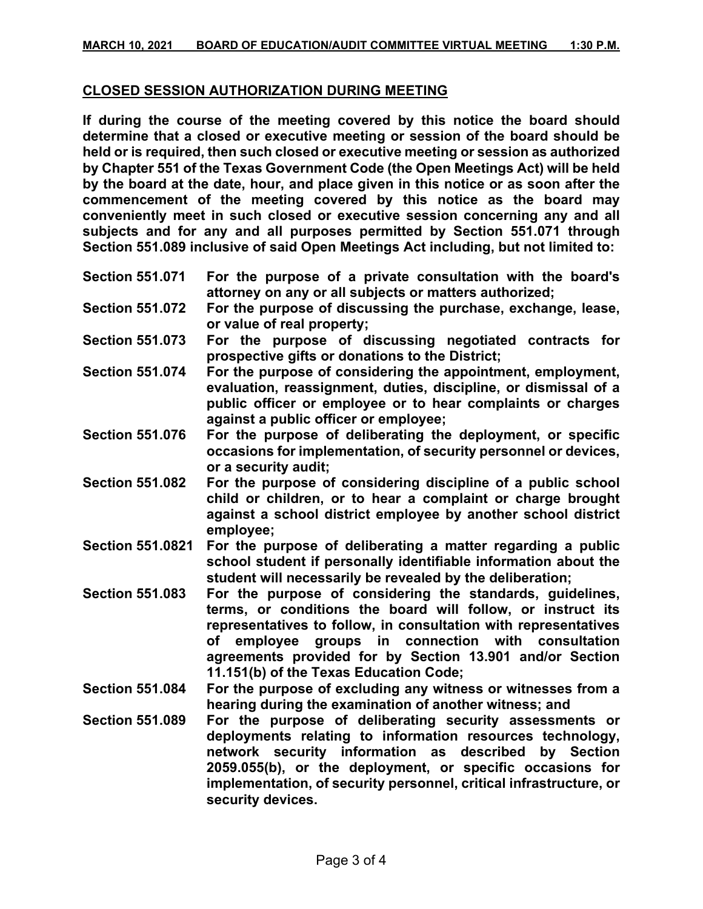#### **CLOSED SESSION AUTHORIZATION DURING MEETING**

**If during the course of the meeting covered by this notice the board should determine that a closed or executive meeting or session of the board should be held or is required, then such closed or executive meeting or session as authorized by Chapter 551 of the Texas Government Code (the Open Meetings Act) will be held by the board at the date, hour, and place given in this notice or as soon after the commencement of the meeting covered by this notice as the board may conveniently meet in such closed or executive session concerning any and all subjects and for any and all purposes permitted by Section 551.071 through Section 551.089 inclusive of said Open Meetings Act including, but not limited to:**

- **Section 551.071 For the purpose of a private consultation with the board's attorney on any or all subjects or matters authorized;**
- **Section 551.072 For the purpose of discussing the purchase, exchange, lease, or value of real property;**
- **Section 551.073 For the purpose of discussing negotiated contracts for prospective gifts or donations to the District;**
- **Section 551.074 For the purpose of considering the appointment, employment, evaluation, reassignment, duties, discipline, or dismissal of a public officer or employee or to hear complaints or charges against a public officer or employee;**
- **Section 551.076 For the purpose of deliberating the deployment, or specific occasions for implementation, of security personnel or devices, or a security audit;**
- **Section 551.082 For the purpose of considering discipline of a public school child or children, or to hear a complaint or charge brought against a school district employee by another school district employee;**
- **Section 551.0821 For the purpose of deliberating a matter regarding a public school student if personally identifiable information about the student will necessarily be revealed by the deliberation;**
- **Section 551.083 For the purpose of considering the standards, guidelines, terms, or conditions the board will follow, or instruct its representatives to follow, in consultation with representatives of employee groups in connection with consultation agreements provided for by Section 13.901 and/or Section 11.151(b) of the Texas Education Code;**
- **Section 551.084 For the purpose of excluding any witness or witnesses from a hearing during the examination of another witness; and**
- **Section 551.089 For the purpose of deliberating security assessments or deployments relating to information resources technology, network security information as described by Section 2059.055(b), or the deployment, or specific occasions for implementation, of security personnel, critical infrastructure, or security devices.**